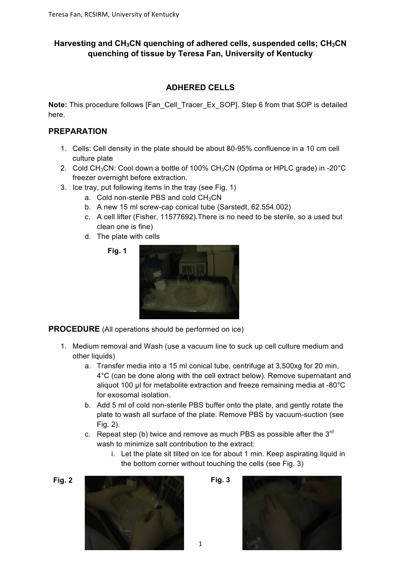### **Harvesting and CH3CN quenching of adhered cells, suspended cells; CH3CN quenching of tissue by Teresa Fan, University of Kentucky**

### **ADHERED CELLS**

**Note:** This procedure follows [Fan\_Cell\_Tracer\_Ex\_SOP]. Step 6 from that SOP is detailed here.

#### **PREPARATION**

- 1. Cells: Cell density in the plate should be about 80-95% confluence in a 10 cm cell culture plate
- 2. Cold CH<sub>3</sub>CN: Cool down a bottle of 100% CH<sub>3</sub>CN (Optima or HPLC grade) in -20 $^{\circ}$ C freezer overnight before extraction.
- 3. Ice tray, put following items in the tray (see Fig. 1)
	- a. Cold non-sterile PBS and cold  $CH<sub>3</sub>CN$
	- b. A new 15 ml screw-cap conical tube (Sarstedt, 62.554.002)
	- c. A cell lifter (Fisher, 11577692).There is no need to be sterile, so a used but clean one is fine)
	- d. The plate with cells





**PROCEDURE** (All operations should be performed on ice)

- 1. Medium removal and Wash (use a vacuum line to suck up cell culture medium and other liquids)
	- a. Transfer media into a 15 ml conical tube, centrifuge at 3,500xg for 20 min, 4°C (can be done along with the cell extract below). Remove supernatant and aliquot 100 µl for metabolite extraction and freeze remaining media at -80°C for exosomal isolation.
	- b. Add 5 ml of cold non-sterile PBS buffer onto the plate, and gently rotate the plate to wash all surface of the plate. Remove PBS by vacuum-suction (see Fig. 2).
	- c. Repeat step (b) twice and remove as much PBS as possible after the  $3<sup>rd</sup>$ wash to minimize salt contribution to the extract:
		- i. Let the plate sit tilted on ice for about 1 min. Keep aspirating liquid in the bottom corner without touching the cells (see Fig. 3)







1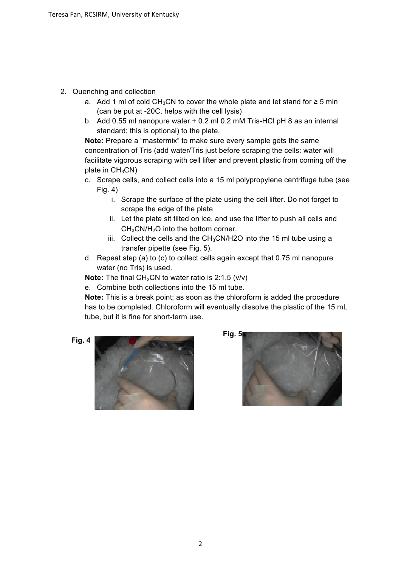- 2. Quenching and collection
	- a. Add 1 ml of cold CH<sub>3</sub>CN to cover the whole plate and let stand for ≥ 5 min (can be put at -20C, helps with the cell lysis)
	- b. Add 0.55 ml nanopure water + 0.2 ml 0.2 mM Tris-HCl pH 8 as an internal standard; this is optional) to the plate.

**Note:** Prepare a "mastermix" to make sure every sample gets the same concentration of Tris (add water/Tris just before scraping the cells: water will facilitate vigorous scraping with cell lifter and prevent plastic from coming off the plate in  $CH<sub>3</sub>CN$ )

- c. Scrape cells, and collect cells into a 15 ml polypropylene centrifuge tube (see Fig. 4)
	- i. Scrape the surface of the plate using the cell lifter. Do not forget to scrape the edge of the plate
	- ii. Let the plate sit tilted on ice, and use the lifter to push all cells and CH3CN/H2O into the bottom corner.
	- iii. Collect the cells and the  $CH<sub>3</sub>CN/H2O$  into the 15 ml tube using a transfer pipette (see Fig. 5).
- d. Repeat step (a) to (c) to collect cells again except that 0.75 ml nanopure water (no Tris) is used.

**Note:** The final CH<sub>3</sub>CN to water ratio is 2:1.5 (v/v)

e. Combine both collections into the 15 ml tube.

**Note:** This is a break point; as soon as the chloroform is added the procedure has to be completed. Chloroform will eventually dissolve the plastic of the 15 mL tube, but it is fine for short-term use.